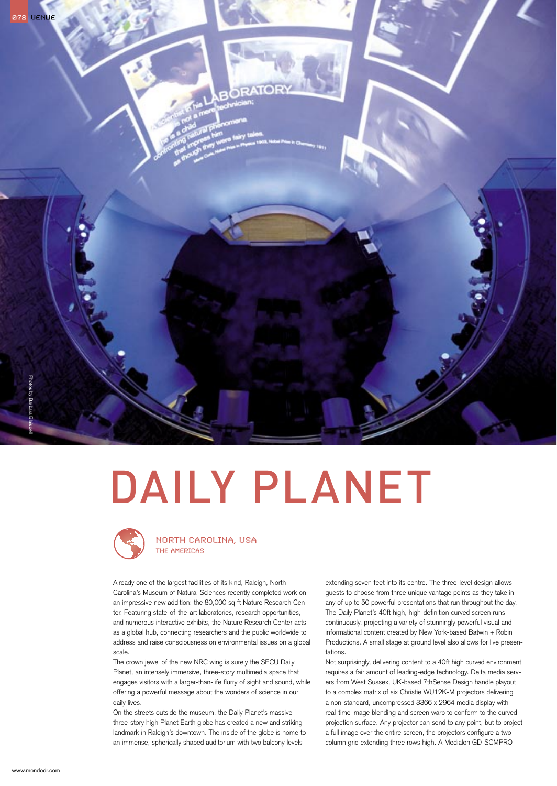

# DAILY PLANET



### north carolina, usa The Americas

Already one of the largest facilities of its kind, Raleigh, North Carolina's Museum of Natural Sciences recently completed work on an impressive new addition: the 80,000 sq ft Nature Research Center. Featuring state-of-the-art laboratories, research opportunities, and numerous interactive exhibits, the Nature Research Center acts as a global hub, connecting researchers and the public worldwide to address and raise consciousness on environmental issues on a global scale.

The crown jewel of the new NRC wing is surely the SECU Daily Planet, an intensely immersive, three-story multimedia space that engages visitors with a larger-than-life flurry of sight and sound, while offering a powerful message about the wonders of science in our daily lives.

On the streets outside the museum, the Daily Planet's massive three-story high Planet Earth globe has created a new and striking landmark in Raleigh's downtown. The inside of the globe is home to an immense, spherically shaped auditorium with two balcony levels

extending seven feet into its centre. The three-level design allows guests to choose from three unique vantage points as they take in any of up to 50 powerful presentations that run throughout the day. The Daily Planet's 40ft high, high-definition curved screen runs continuously, projecting a variety of stunningly powerful visual and informational content created by New York-based Batwin + Robin Productions. A small stage at ground level also allows for live presentations.

Not surprisingly, delivering content to a 40ft high curved environment requires a fair amount of leading-edge technology. Delta media servers from West Sussex, UK-based 7thSense Design handle playout to a complex matrix of six Christie WU12K-M projectors delivering a non-standard, uncompressed 3366 x 2964 media display with real-time image blending and screen warp to conform to the curved projection surface. Any projector can send to any point, but to project a full image over the entire screen, the projectors configure a two column grid extending three rows high. A Medialon GD-SCMPRO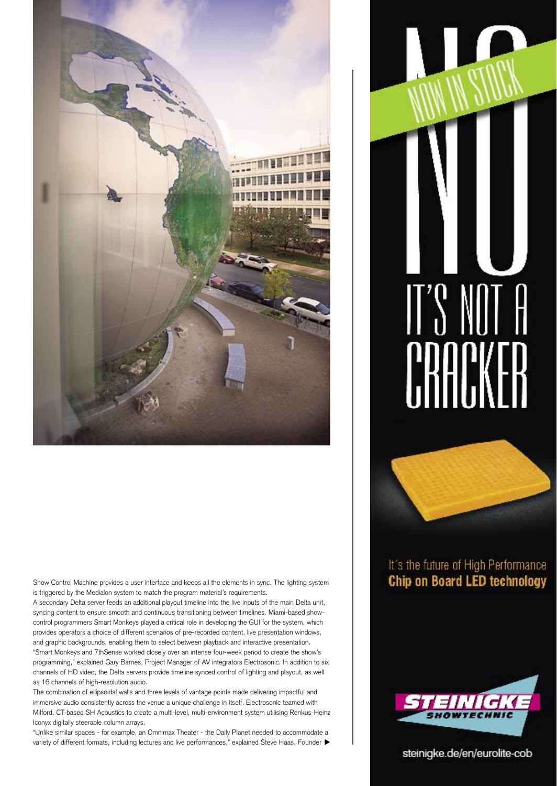

Show Control Machine provides a user interface and keeps all the elements in sync. The lighting system is triggered by the Medialon system to match the program material's requirements.

A secondary Delta server feeds an additional playout timeline into the live inputs of the main Delta unit, syncing content to ensure smooth and continuous transitioning between timelines. Miami-based showcontrol programmers Smart Monkeys played a critical role in developing the GUI for the system, which provides operators a choice of different scenarios of pre-recorded content, live presentation windows, and graphic backgrounds, enabling them to select between playback and interactive presentation. "Smart Monkeys and 7thSense worked closely over an intense four-week period to create the show's programming," explained Gary Barnes, Project Manager of AV integrators Electrosonic. In addition to six channels of HD video, the Delta servers provide timeline synced control of lighting and playout, as well as 16 channels of high-resolution audio.

The combination of ellipsoidal walls and three levels of vantage points made delivering impactful and immersive audio consistently across the venue a unique challenge in itself. Electrosonic teamed with Milford, CT-based SH Acoustics to create a multi-level, multi-environment system utilising Renkus-Heinz Iconyx digitally steerable column arrays.

"Unlike similar spaces - for example, an Omnimax Theater - the Daily Planet needed to accommodate a variety of different formats, including lectures and live performances," explained Steve Haas, Founder  $\blacktriangleright$ 

# $\parallel$ "  $\parallel$ 1 F



# It's the future of High Performance Chip on Board LED technology



## steinigke.de/en/eurolite-cob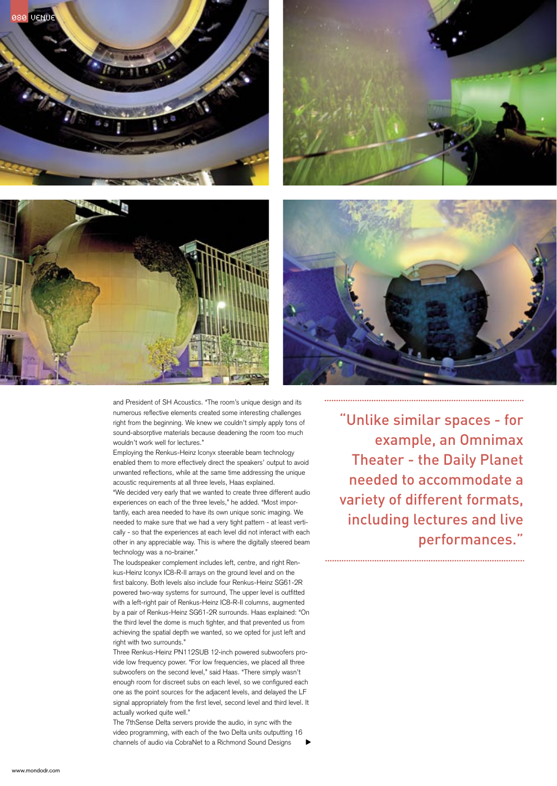







and President of SH Acoustics. "The room's unique design and its numerous reflective elements created some interesting challenges right from the beginning. We knew we couldn't simply apply tons of sound-absorptive materials because deadening the room too much wouldn't work well for lectures."

Employing the Renkus-Heinz Iconyx steerable beam technology enabled them to more effectively direct the speakers' output to avoid unwanted reflections, while at the same time addressing the unique acoustic requirements at all three levels, Haas explained.

"We decided very early that we wanted to create three different audio experiences on each of the three levels," he added. "Most importantly, each area needed to have its own unique sonic imaging. We needed to make sure that we had a very tight pattern - at least vertically - so that the experiences at each level did not interact with each other in any appreciable way. This is where the digitally steered beam technology was a no-brainer."

The loudspeaker complement includes left, centre, and right Renkus-Heinz Iconyx IC8-R-II arrays on the ground level and on the first balcony. Both levels also include four Renkus-Heinz SG61-2R powered two-way systems for surround, The upper level is outfitted with a left-right pair of Renkus-Heinz IC8-R-II columns, augmented by a pair of Renkus-Heinz SG61-2R surrounds. Haas explained: "On the third level the dome is much tighter, and that prevented us from achieving the spatial depth we wanted, so we opted for just left and right with two surrounds."

Three Renkus-Heinz PN112SUB 12-inch powered subwoofers provide low frequency power. "For low frequencies, we placed all three subwoofers on the second level," said Haas. "There simply wasn't enough room for discreet subs on each level, so we configured each one as the point sources for the adjacent levels, and delayed the LF signal appropriately from the first level, second level and third level. It actually worked quite well."

The 7thSense Delta servers provide the audio, in sync with the video programming, with each of the two Delta units outputting 16 channels of audio via CobraNet to a Richmond Sound Designs

"Unlike similar spaces - for example, an Omnimax Theater - the Daily Planet needed to accommodate a variety of different formats, including lectures and live performances."

www.mondodr.com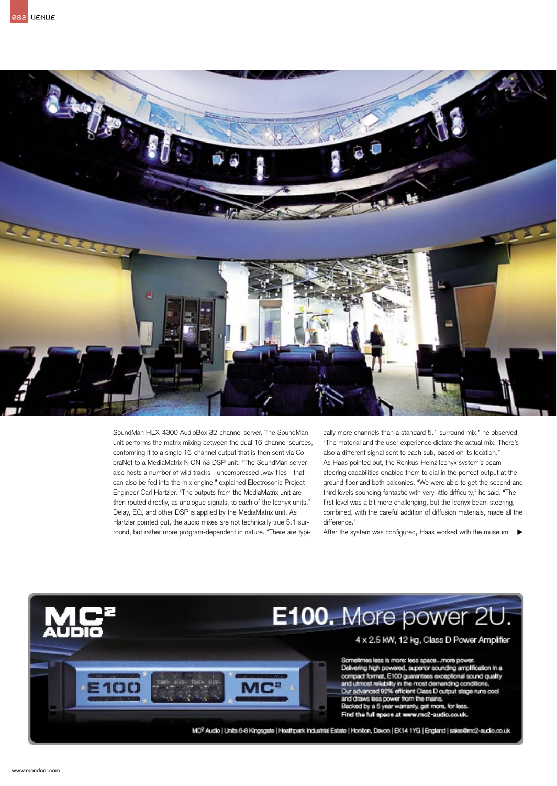

SoundMan HLX-4300 AudioBox 32-channel server. The SoundMan unit performs the matrix mixing between the dual 16-channel sources, conforming it to a single 16-channel output that is then sent via CobraNet to a MediaMatrix NION n3 DSP unit. "The SoundMan server also hosts a number of wild tracks - uncompressed .wav files - that can also be fed into the mix engine," explained Electrosonic Project Engineer Carl Hartzler. "The outputs from the MediaMatrix unit are then routed directly, as analogue signals, to each of the Iconyx units." Delay, EQ, and other DSP is applied by the MediaMatrix unit. As Hartzler pointed out, the audio mixes are not technically true 5.1 surround, but rather more program-dependent in nature. "There are typically more channels than a standard 5.1 surround mix," he observed. "The material and the user experience dictate the actual mix. There's also a different signal sent to each sub, based on its location." As Haas pointed out, the Renkus-Heinz Iconyx system's beam steering capabilities enabled them to dial in the perfect output at the ground floor and both balconies. "We were able to get the second and third levels sounding fantastic with very little difficulty," he said. "The first level was a bit more challenging, but the Iconyx beam steering, combined, with the careful addition of diffusion materials, made all the difference."

After the system was configured, Haas worked with the museum  $\blacktriangleright$